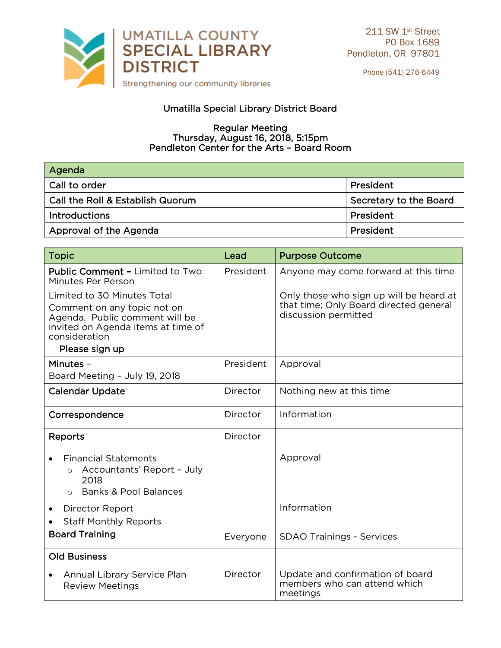

Phone (541) 276-6449

## Umatilla Special Library District Board

## **Regular Meeting**  $R$  August 16, 2018 Informating, August 17, 2017, 2019, 17<br>leton Center for the Arts - Board R Pendleton Center for the Arts – Board Room

| Agenda                           |                        |
|----------------------------------|------------------------|
| Call to order                    | President              |
| Call the Roll & Establish Quorum | Secretary to the Board |
| <b>Introductions</b>             | President              |
| Approval of the Agenda           | President              |

| <b>Topic</b>                                                                                                                                                          | Lead      | <b>Purpose Outcome</b>                                                                                    |
|-----------------------------------------------------------------------------------------------------------------------------------------------------------------------|-----------|-----------------------------------------------------------------------------------------------------------|
| <b>Public Comment - Limited to Two</b><br>Minutes Per Person                                                                                                          | President | Anyone may come forward at this time                                                                      |
| Limited to 30 Minutes Total<br>Comment on any topic not on<br>Agenda. Public comment will be<br>invited on Agenda items at time of<br>consideration<br>Please sign up |           | Only those who sign up will be heard at<br>that time; Only Board directed general<br>discussion permitted |
| Minutes -<br>Board Meeting - July 19, 2018                                                                                                                            | President | Approval                                                                                                  |
| <b>Calendar Update</b>                                                                                                                                                | Director  | Nothing new at this time                                                                                  |
| Correspondence                                                                                                                                                        | Director  | Information                                                                                               |
| Reports                                                                                                                                                               | Director  |                                                                                                           |
| <b>Financial Statements</b><br>Accountants' Report - July<br>$\circ$<br>2018<br>Banks & Pool Balances<br>$\Omega$                                                     |           | Approval                                                                                                  |
| Director Report<br><b>Staff Monthly Reports</b>                                                                                                                       |           | Information                                                                                               |
| <b>Board Training</b>                                                                                                                                                 | Everyone  | <b>SDAO Trainings - Services</b>                                                                          |
| <b>Old Business</b>                                                                                                                                                   |           |                                                                                                           |
| Annual Library Service Plan<br><b>Review Meetings</b>                                                                                                                 | Director  | Update and confirmation of board<br>members who can attend which<br>meetings                              |